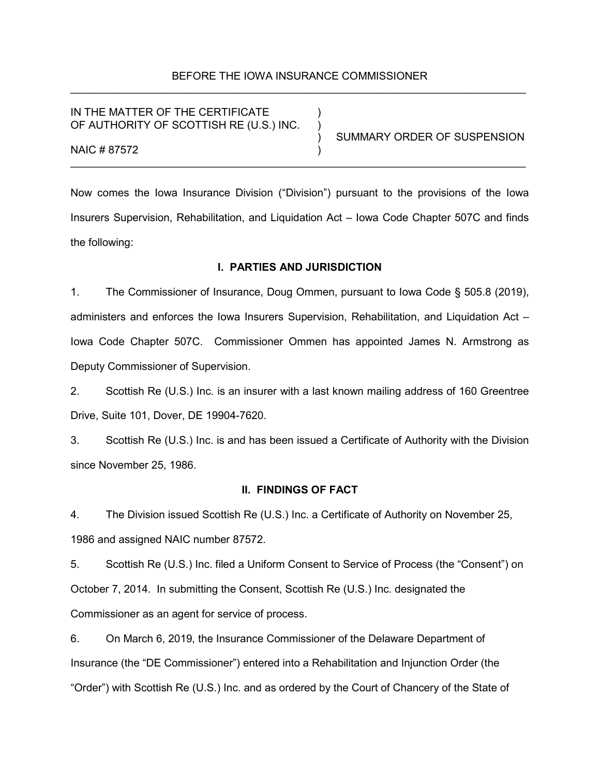# BEFORE THE IOWA INSURANCE COMMISSIONER \_\_\_\_\_\_\_\_\_\_\_\_\_\_\_\_\_\_\_\_\_\_\_\_\_\_\_\_\_\_\_\_\_\_\_\_\_\_\_\_\_\_\_\_\_\_\_\_\_\_\_\_\_\_\_\_\_\_\_\_\_\_\_\_\_\_\_\_\_\_\_\_\_\_\_\_

IN THE MATTER OF THE CERTIFICATE OF AUTHORITY OF SCOTTISH RE (U.S.) INC.

) SUMMARY ORDER OF SUSPENSION

NAIC # 87572

Now comes the Iowa Insurance Division ("Division") pursuant to the provisions of the Iowa Insurers Supervision, Rehabilitation, and Liquidation Act – Iowa Code Chapter 507C and finds the following:

\_\_\_\_\_\_\_\_\_\_\_\_\_\_\_\_\_\_\_\_\_\_\_\_\_\_\_\_\_\_\_\_\_\_\_\_\_\_\_\_\_\_\_\_\_\_\_\_\_\_\_\_\_\_\_\_\_\_\_\_\_\_\_\_\_\_\_\_\_\_\_\_\_\_\_\_

### **I. PARTIES AND JURISDICTION**

1. The Commissioner of Insurance, Doug Ommen, pursuant to Iowa Code § 505.8 (2019), administers and enforces the Iowa Insurers Supervision, Rehabilitation, and Liquidation Act – Iowa Code Chapter 507C. Commissioner Ommen has appointed James N. Armstrong as Deputy Commissioner of Supervision.

2. Scottish Re (U.S.) Inc. is an insurer with a last known mailing address of 160 Greentree Drive, Suite 101, Dover, DE 19904-7620.

3. Scottish Re (U.S.) Inc. is and has been issued a Certificate of Authority with the Division since November 25, 1986.

# **II. FINDINGS OF FACT**

4. The Division issued Scottish Re (U.S.) Inc. a Certificate of Authority on November 25, 1986 and assigned NAIC number 87572.

5. Scottish Re (U.S.) Inc. filed a Uniform Consent to Service of Process (the "Consent") on October 7, 2014. In submitting the Consent, Scottish Re (U.S.) Inc. designated the Commissioner as an agent for service of process.

6. On March 6, 2019, the Insurance Commissioner of the Delaware Department of Insurance (the "DE Commissioner") entered into a Rehabilitation and Injunction Order (the "Order") with Scottish Re (U.S.) Inc. and as ordered by the Court of Chancery of the State of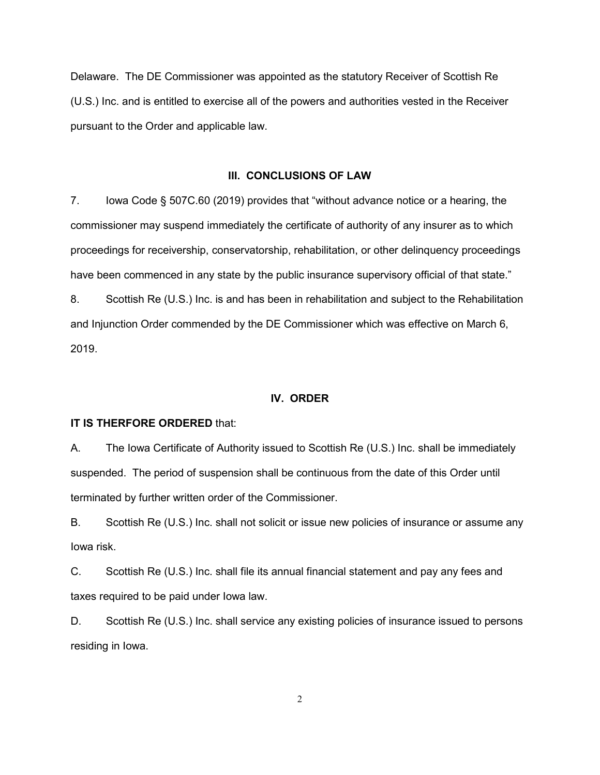Delaware. The DE Commissioner was appointed as the statutory Receiver of Scottish Re (U.S.) Inc. and is entitled to exercise all of the powers and authorities vested in the Receiver pursuant to the Order and applicable law.

### **III. CONCLUSIONS OF LAW**

7. Iowa Code § 507C.60 (2019) provides that "without advance notice or a hearing, the commissioner may suspend immediately the certificate of authority of any insurer as to which proceedings for receivership, conservatorship, rehabilitation, or other delinquency proceedings have been commenced in any state by the public insurance supervisory official of that state."

8. Scottish Re (U.S.) Inc. is and has been in rehabilitation and subject to the Rehabilitation and Injunction Order commended by the DE Commissioner which was effective on March 6, 2019.

# **IV. ORDER**

### **IT IS THERFORE ORDERED** that:

A. The Iowa Certificate of Authority issued to Scottish Re (U.S.) Inc. shall be immediately suspended. The period of suspension shall be continuous from the date of this Order until terminated by further written order of the Commissioner.

B. Scottish Re (U.S.) Inc. shall not solicit or issue new policies of insurance or assume any Iowa risk.

C. Scottish Re (U.S.) Inc. shall file its annual financial statement and pay any fees and taxes required to be paid under Iowa law.

D. Scottish Re (U.S.) Inc. shall service any existing policies of insurance issued to persons residing in Iowa.

2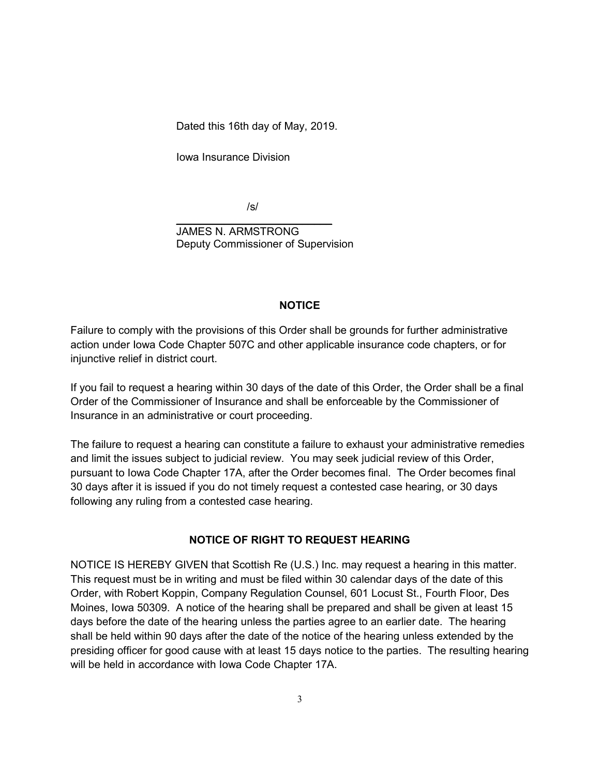Dated this 16th day of May, 2019.

Iowa Insurance Division

/s/

 $\frac{1}{\sqrt{2}}$  ,  $\frac{1}{\sqrt{2}}$  ,  $\frac{1}{\sqrt{2}}$  ,  $\frac{1}{\sqrt{2}}$  ,  $\frac{1}{\sqrt{2}}$  ,  $\frac{1}{\sqrt{2}}$  ,  $\frac{1}{\sqrt{2}}$  ,  $\frac{1}{\sqrt{2}}$  ,  $\frac{1}{\sqrt{2}}$  ,  $\frac{1}{\sqrt{2}}$  ,  $\frac{1}{\sqrt{2}}$  ,  $\frac{1}{\sqrt{2}}$  ,  $\frac{1}{\sqrt{2}}$  ,  $\frac{1}{\sqrt{2}}$  ,  $\frac{1}{\sqrt{2}}$  JAMES N. ARMSTRONG Deputy Commissioner of Supervision

# **NOTICE**

Failure to comply with the provisions of this Order shall be grounds for further administrative action under Iowa Code Chapter 507C and other applicable insurance code chapters, or for injunctive relief in district court.

If you fail to request a hearing within 30 days of the date of this Order, the Order shall be a final Order of the Commissioner of Insurance and shall be enforceable by the Commissioner of Insurance in an administrative or court proceeding.

The failure to request a hearing can constitute a failure to exhaust your administrative remedies and limit the issues subject to judicial review. You may seek judicial review of this Order, pursuant to Iowa Code Chapter 17A, after the Order becomes final. The Order becomes final 30 days after it is issued if you do not timely request a contested case hearing, or 30 days following any ruling from a contested case hearing.

# **NOTICE OF RIGHT TO REQUEST HEARING**

NOTICE IS HEREBY GIVEN that Scottish Re (U.S.) Inc. may request a hearing in this matter. This request must be in writing and must be filed within 30 calendar days of the date of this Order, with Robert Koppin, Company Regulation Counsel, 601 Locust St., Fourth Floor, Des Moines, Iowa 50309. A notice of the hearing shall be prepared and shall be given at least 15 days before the date of the hearing unless the parties agree to an earlier date. The hearing shall be held within 90 days after the date of the notice of the hearing unless extended by the presiding officer for good cause with at least 15 days notice to the parties. The resulting hearing will be held in accordance with Iowa Code Chapter 17A.